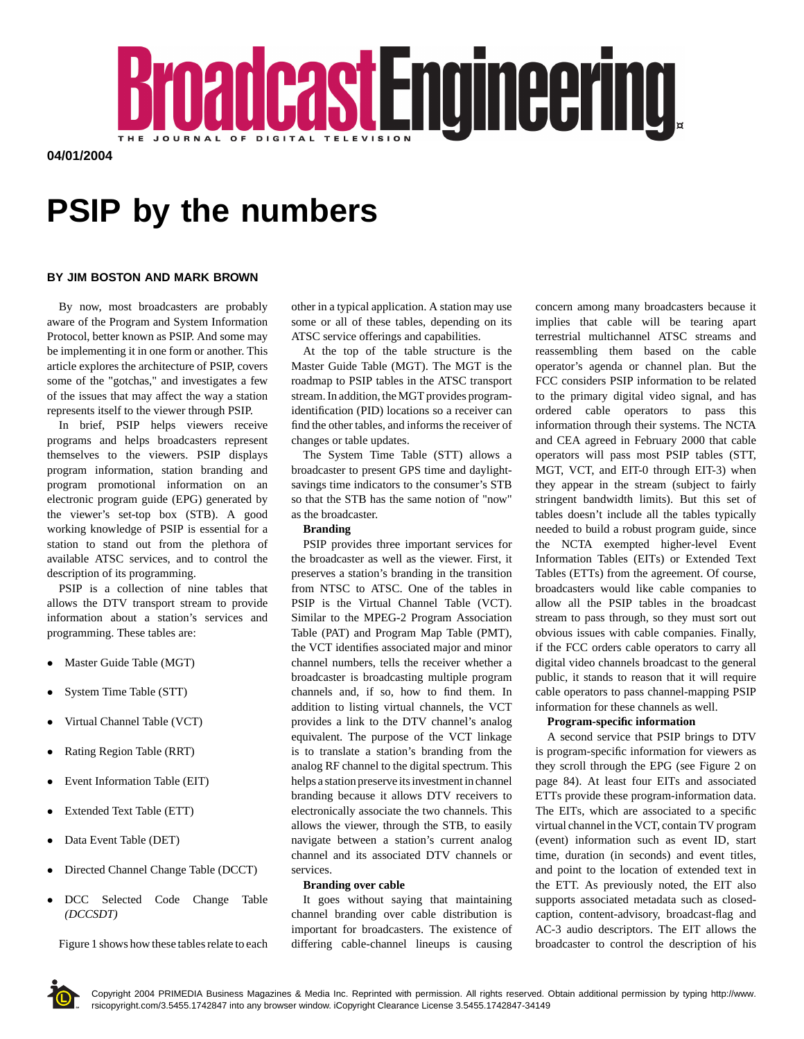

**04/01/2004**

# **PSIP by the numbers**

# **BY JIM BOSTON AND MARK BROWN**

By now, most broadcasters are probably aware of the Program and System Information Protocol, better known as PSIP. And some may be implementing it in one form or another. This article explores the architecture of PSIP, covers some of the "gotchas," and investigates a few of the issues that may affect the way a station represents itself to the viewer through PSIP.

In brief, PSIP helps viewers receive programs and helps broadcasters represent themselves to the viewers. PSIP displays program information, station branding and program promotional information on an electronic program guide (EPG) generated by the viewer's set-top box (STB). A good working knowledge of PSIP is essential for a station to stand out from the plethora of available ATSC services, and to control the description of its programming.

PSIP is a collection of nine tables that allows the DTV transport stream to provide information about a station's services and programming. These tables are:

- Master Guide Table (MGT)
- System Time Table (STT)
- Virtual Channel Table (VCT)
- Rating Region Table (RRT)
- Event Information Table (EIT)
- Extended Text Table (ETT)
- Data Event Table (DET)
- Directed Channel Change Table (DCCT)
- DCC Selected Code Change Table *(DCCSDT)*

Figure 1 shows how these tables relate to each

other in a typical application. A station may use some or all of these tables, depending on its ATSC service offerings and capabilities.

At the top of the table structure is the Master Guide Table (MGT). The MGT is the roadmap to PSIP tables in the ATSC transport stream. In addition, the MGT provides programidentification (PID) locations so a receiver can find the other tables, and informs the receiver of changes or table updates.

The System Time Table (STT) allows a broadcaster to present GPS time and daylightsavings time indicators to the consumer's STB so that the STB has the same notion of "now" as the broadcaster.

#### **Branding**

PSIP provides three important services for the broadcaster as well as the viewer. First, it preserves a station's branding in the transition from NTSC to ATSC. One of the tables in PSIP is the Virtual Channel Table (VCT). Similar to the MPEG-2 Program Association Table (PAT) and Program Map Table (PMT), the VCT identifies associated major and minor channel numbers, tells the receiver whether a broadcaster is broadcasting multiple program channels and, if so, how to find them. In addition to listing virtual channels, the VCT provides a link to the DTV channel's analog equivalent. The purpose of the VCT linkage is to translate a station's branding from the analog RF channel to the digital spectrum. This helps a station preserve its investment in channel branding because it allows DTV receivers to electronically associate the two channels. This allows the viewer, through the STB, to easily navigate between a station's current analog channel and its associated DTV channels or services.

#### **Branding over cable**

It goes without saying that maintaining channel branding over cable distribution is important for broadcasters. The existence of differing cable-channel lineups is causing concern among many broadcasters because it implies that cable will be tearing apart terrestrial multichannel ATSC streams and reassembling them based on the cable operator's agenda or channel plan. But the FCC considers PSIP information to be related to the primary digital video signal, and has ordered cable operators to pass this information through their systems. The NCTA and CEA agreed in February 2000 that cable operators will pass most PSIP tables (STT, MGT, VCT, and EIT-0 through EIT-3) when they appear in the stream (subject to fairly stringent bandwidth limits). But this set of tables doesn't include all the tables typically needed to build a robust program guide, since the NCTA exempted higher-level Event Information Tables (EITs) or Extended Text Tables (ETTs) from the agreement. Of course, broadcasters would like cable companies to allow all the PSIP tables in the broadcast stream to pass through, so they must sort out obvious issues with cable companies. Finally, if the FCC orders cable operators to carry all digital video channels broadcast to the general public, it stands to reason that it will require cable operators to pass channel-mapping PSIP information for these channels as well.

#### **Program-specific information**

A second service that PSIP brings to DTV is program-specific information for viewers as they scroll through the EPG (see Figure 2 on page 84). At least four EITs and associated ETTs provide these program-information data. The EITs, which are associated to a specific virtual channel in the VCT, contain TV program (event) information such as event ID, start time, duration (in seconds) and event titles, and point to the location of extended text in the ETT. As previously noted, the EIT also supports associated metadata such as closedcaption, content-advisory, broadcast-flag and AC-3 audio descriptors. The EIT allows the broadcaster to control the description of his

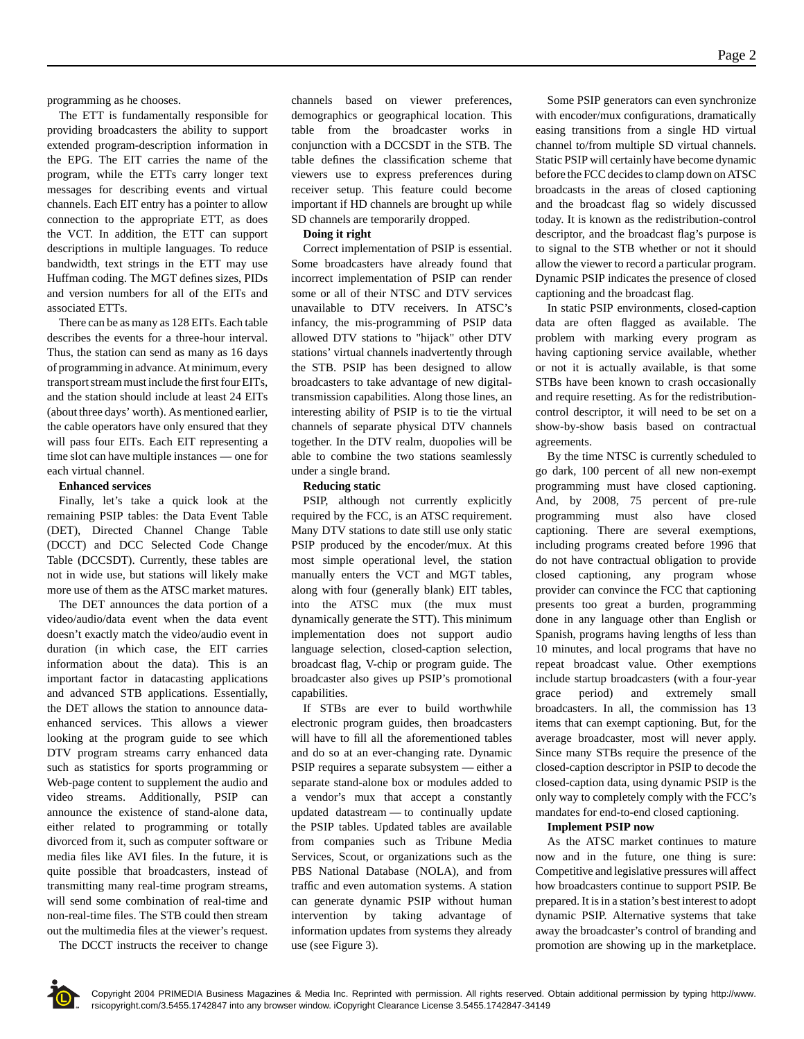programming as he chooses.

The ETT is fundamentally responsible for providing broadcasters the ability to support extended program-description information in the EPG. The EIT carries the name of the program, while the ETTs carry longer text messages for describing events and virtual channels. Each EIT entry has a pointer to allow connection to the appropriate ETT, as does the VCT. In addition, the ETT can support descriptions in multiple languages. To reduce bandwidth, text strings in the ETT may use Huffman coding. The MGT defines sizes, PIDs and version numbers for all of the EITs and associated ETTs.

There can be as many as 128 EITs. Each table describes the events for a three-hour interval. Thus, the station can send as many as 16 days of programming in advance. At minimum, every transport stream must include the first four EITs, and the station should include at least 24 EITs (about three days' worth). As mentioned earlier, the cable operators have only ensured that they will pass four EITs. Each EIT representing a time slot can have multiple instances — one for each virtual channel.

# **Enhanced services**

Finally, let's take a quick look at the remaining PSIP tables: the Data Event Table (DET), Directed Channel Change Table (DCCT) and DCC Selected Code Change Table (DCCSDT). Currently, these tables are not in wide use, but stations will likely make more use of them as the ATSC market matures.

The DET announces the data portion of a video/audio/data event when the data event doesn't exactly match the video/audio event in duration (in which case, the EIT carries information about the data). This is an important factor in datacasting applications and advanced STB applications. Essentially, the DET allows the station to announce dataenhanced services. This allows a viewer looking at the program guide to see which DTV program streams carry enhanced data such as statistics for sports programming or Web-page content to supplement the audio and video streams. Additionally, PSIP can announce the existence of stand-alone data, either related to programming or totally divorced from it, such as computer software or media files like AVI files. In the future, it is quite possible that broadcasters, instead of transmitting many real-time program streams, will send some combination of real-time and non-real-time files. The STB could then stream out the multimedia files at the viewer's request.

The DCCT instructs the receiver to change

channels based on viewer preferences, demographics or geographical location. This table from the broadcaster works in conjunction with a DCCSDT in the STB. The table defines the classification scheme that viewers use to express preferences during receiver setup. This feature could become important if HD channels are brought up while SD channels are temporarily dropped.

# **Doing it right**

Correct implementation of PSIP is essential. Some broadcasters have already found that incorrect implementation of PSIP can render some or all of their NTSC and DTV services unavailable to DTV receivers. In ATSC's infancy, the mis-programming of PSIP data allowed DTV stations to "hijack" other DTV stations' virtual channels inadvertently through the STB. PSIP has been designed to allow broadcasters to take advantage of new digitaltransmission capabilities. Along those lines, an interesting ability of PSIP is to tie the virtual channels of separate physical DTV channels together. In the DTV realm, duopolies will be able to combine the two stations seamlessly under a single brand.

# **Reducing static**

PSIP, although not currently explicitly required by the FCC, is an ATSC requirement. Many DTV stations to date still use only static PSIP produced by the encoder/mux. At this most simple operational level, the station manually enters the VCT and MGT tables, along with four (generally blank) EIT tables, into the ATSC mux (the mux must dynamically generate the STT). This minimum implementation does not support audio language selection, closed-caption selection, broadcast flag, V-chip or program guide. The broadcaster also gives up PSIP's promotional capabilities.

If STBs are ever to build worthwhile electronic program guides, then broadcasters will have to fill all the aforementioned tables and do so at an ever-changing rate. Dynamic PSIP requires a separate subsystem — either a separate stand-alone box or modules added to a vendor's mux that accept a constantly updated datastream — to continually update the PSIP tables. Updated tables are available from companies such as Tribune Media Services, Scout, or organizations such as the PBS National Database (NOLA), and from traffic and even automation systems. A station can generate dynamic PSIP without human intervention by taking advantage of information updates from systems they already use (see Figure 3).

Some PSIP generators can even synchronize with encoder/mux configurations, dramatically easing transitions from a single HD virtual channel to/from multiple SD virtual channels. Static PSIP will certainly have become dynamic before the FCC decides to clamp down on ATSC broadcasts in the areas of closed captioning and the broadcast flag so widely discussed today. It is known as the redistribution-control descriptor, and the broadcast flag's purpose is to signal to the STB whether or not it should allow the viewer to record a particular program. Dynamic PSIP indicates the presence of closed captioning and the broadcast flag.

In static PSIP environments, closed-caption data are often flagged as available. The problem with marking every program as having captioning service available, whether or not it is actually available, is that some STBs have been known to crash occasionally and require resetting. As for the redistributioncontrol descriptor, it will need to be set on a show-by-show basis based on contractual agreements.

By the time NTSC is currently scheduled to go dark, 100 percent of all new non-exempt programming must have closed captioning. And, by 2008, 75 percent of pre-rule programming must also have closed captioning. There are several exemptions, including programs created before 1996 that do not have contractual obligation to provide closed captioning, any program whose provider can convince the FCC that captioning presents too great a burden, programming done in any language other than English or Spanish, programs having lengths of less than 10 minutes, and local programs that have no repeat broadcast value. Other exemptions include startup broadcasters (with a four-year grace period) and extremely small broadcasters. In all, the commission has 13 items that can exempt captioning. But, for the average broadcaster, most will never apply. Since many STBs require the presence of the closed-caption descriptor in PSIP to decode the closed-caption data, using dynamic PSIP is the only way to completely comply with the FCC's mandates for end-to-end closed captioning.

#### **Implement PSIP now**

As the ATSC market continues to mature now and in the future, one thing is sure: Competitive and legislative pressures will affect how broadcasters continue to support PSIP. Be prepared. It is in a station's best interest to adopt dynamic PSIP. Alternative systems that take away the broadcaster's control of branding and promotion are showing up in the marketplace.